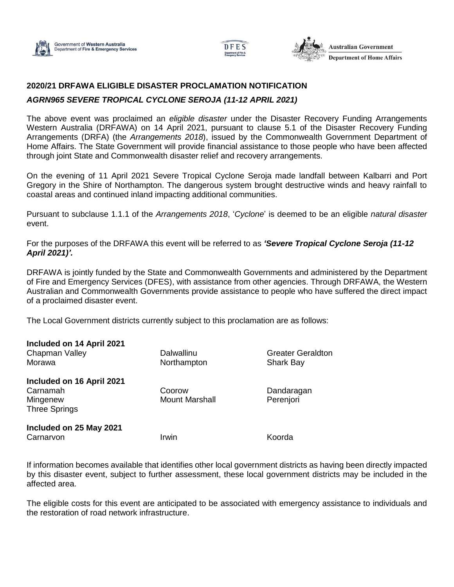





## **2020/21 DRFAWA ELIGIBLE DISASTER PROCLAMATION NOTIFICATION**

## *AGRN965 SEVERE TROPICAL CYCLONE SEROJA (11-12 APRIL 2021)*

The above event was proclaimed an *eligible disaster* under the Disaster Recovery Funding Arrangements Western Australia (DRFAWA) on 14 April 2021, pursuant to clause 5.1 of the Disaster Recovery Funding Arrangements (DRFA) (the *Arrangements 2018*), issued by the Commonwealth Government Department of Home Affairs. The State Government will provide financial assistance to those people who have been affected through joint State and Commonwealth disaster relief and recovery arrangements.

On the evening of 11 April 2021 Severe Tropical Cyclone Seroja made landfall between Kalbarri and Port Gregory in the Shire of Northampton. The dangerous system brought destructive winds and heavy rainfall to coastal areas and continued inland impacting additional communities.

Pursuant to subclause 1.1.1 of the *Arrangements 2018*, '*Cyclone*' is deemed to be an eligible *natural disaster* event.

For the purposes of the DRFAWA this event will be referred to as *'Severe Tropical Cyclone Seroja (11-12 April 2021)'.*

DRFAWA is jointly funded by the State and Commonwealth Governments and administered by the Department of Fire and Emergency Services (DFES), with assistance from other agencies. Through DRFAWA, the Western Australian and Commonwealth Governments provide assistance to people who have suffered the direct impact of a proclaimed disaster event.

The Local Government districts currently subject to this proclamation are as follows:

| Included on 14 April 2021<br>Chapman Valley<br>Morawa                     | Dalwallinu<br>Northampton       | <b>Greater Geraldton</b><br><b>Shark Bay</b> |
|---------------------------------------------------------------------------|---------------------------------|----------------------------------------------|
| Included on 16 April 2021<br>Carnamah<br>Mingenew<br><b>Three Springs</b> | Coorow<br><b>Mount Marshall</b> | Dandaragan<br>Perenjori                      |
| Included on 25 May 2021<br>Carnarvon                                      | Irwin                           | Koorda                                       |

If information becomes available that identifies other local government districts as having been directly impacted by this disaster event, subject to further assessment, these local government districts may be included in the affected area.

The eligible costs for this event are anticipated to be associated with emergency assistance to individuals and the restoration of road network infrastructure.